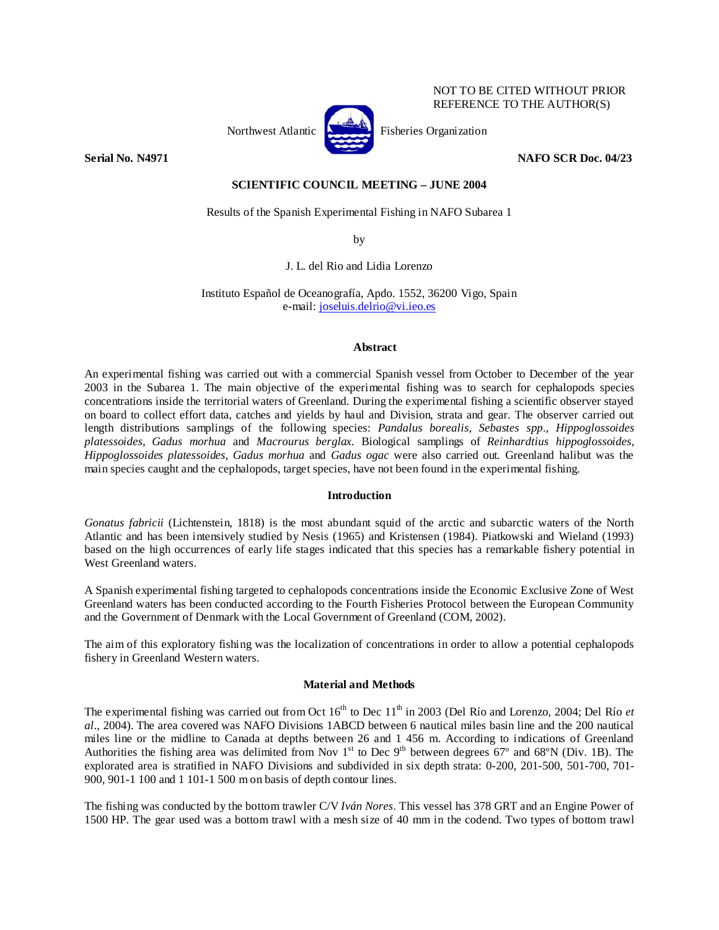

NOT TO BE CITED WITHOUT PRIOR REFERENCE TO THE AUTHOR(S)

# **Serial No. N4971 NAFO SCR Doc. 04/23**

# **SCIENTIFIC COUNCIL MEETING – JUNE 2004**

Results of the Spanish Experimental Fishing in NAFO Subarea 1

by

J. L. del Rio and Lidia Lorenzo

Instituto Español de Oceanografía, Apdo. 1552, 36200 Vigo, Spain e-mail: joseluis.delrio@vi.ieo.es

## **Abstract**

An experimental fishing was carried out with a commercial Spanish vessel from October to December of the year 2003 in the Subarea 1. The main objective of the experimental fishing was to search for cephalopods species concentrations inside the territorial waters of Greenland. During the experimental fishing a scientific observer stayed on board to collect effort data, catches and yields by haul and Division, strata and gear. The observer carried out length distributions samplings of the following species: *Pandalus borealis*, *Sebastes spp*., *Hippoglossoides platessoides*, *Gadus morhua* and *Macrourus berglax.* Biological samplings of *Reinhardtius hippoglossoides*, *Hippoglossoides platessoides*, *Gadus morhua* and *Gadus ogac* were also carried out*.* Greenland halibut was the main species caught and the cephalopods, target species, have not been found in the experimental fishing.

## **Introduction**

*Gonatus fabricii* (Lichtenstein, 1818) is the most abundant squid of the arctic and subarctic waters of the North Atlantic and has been intensively studied by Nesis (1965) and Kristensen (1984). Piatkowski and Wieland (1993) based on the high occurrences of early life stages indicated that this species has a remarkable fishery potential in West Greenland waters.

A Spanish experimental fishing targeted to cephalopods concentrations inside the Economic Exclusive Zone of West Greenland waters has been conducted according to the Fourth Fisheries Protocol between the European Community and the Government of Denmark with the Local Government of Greenland (COM, 2002).

The aim of this exploratory fishing was the localization of concentrations in order to allow a potential cephalopods fishery in Greenland Western waters.

# **Material and Methods**

The experimental fishing was carried out from Oct 16<sup>th</sup> to Dec 11<sup>th</sup> in 2003 (Del Río and Lorenzo, 2004; Del Río *et al*., 2004). The area covered was NAFO Divisions 1ABCD between 6 nautical miles basin line and the 200 nautical miles line or the midline to Canada at depths between 26 and 1 456 m. According to indications of Greenland Authorities the fishing area was delimited from Nov  $1<sup>st</sup>$  to Dec 9<sup>th</sup> between degrees 67<sup>°</sup> and 68<sup>°</sup>N (Div. 1B). The explorated area is stratified in NAFO Divisions and subdivided in six depth strata: 0-200, 201-500, 501-700, 701- 900, 901-1 100 and 1 101-1 500 m on basis of depth contour lines.

The fishing was conducted by the bottom trawler C/V *Iván Nores*. This vessel has 378 GRT and an Engine Power of 1500 HP. The gear used was a bottom trawl with a mesh size of 40 mm in the codend. Two types of bottom trawl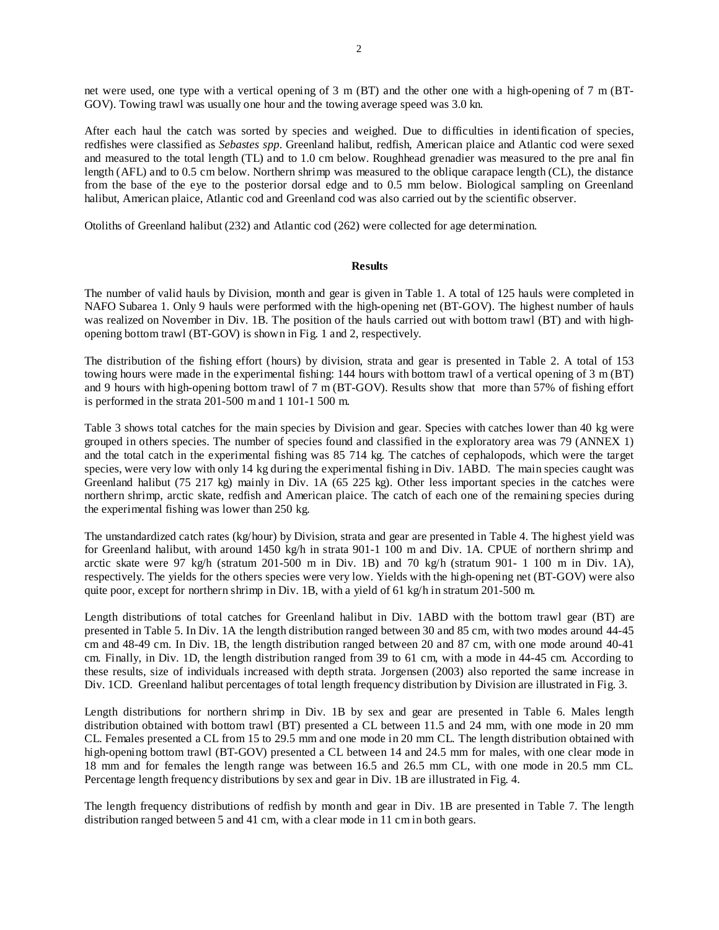net were used, one type with a vertical opening of 3 m (BT) and the other one with a high-opening of 7 m (BT-GOV). Towing trawl was usually one hour and the towing average speed was 3.0 kn.

After each haul the catch was sorted by species and weighed. Due to difficulties in identification of species, redfishes were classified as *Sebastes spp*. Greenland halibut, redfish, American plaice and Atlantic cod were sexed and measured to the total length (TL) and to 1.0 cm below. Roughhead grenadier was measured to the pre anal fin length (AFL) and to 0.5 cm below. Northern shrimp was measured to the oblique carapace length (CL), the distance from the base of the eye to the posterior dorsal edge and to 0.5 mm below. Biological sampling on Greenland halibut, American plaice, Atlantic cod and Greenland cod was also carried out by the scientific observer.

Otoliths of Greenland halibut (232) and Atlantic cod (262) were collected for age determination.

#### **Results**

The number of valid hauls by Division, month and gear is given in Table 1. A total of 125 hauls were completed in NAFO Subarea 1. Only 9 hauls were performed with the high-opening net (BT-GOV). The highest number of hauls was realized on November in Div. 1B. The position of the hauls carried out with bottom trawl (BT) and with highopening bottom trawl (BT-GOV) is shown in Fig. 1 and 2, respectively.

The distribution of the fishing effort (hours) by division, strata and gear is presented in Table 2. A total of 153 towing hours were made in the experimental fishing: 144 hours with bottom trawl of a vertical opening of 3 m (BT) and 9 hours with high-opening bottom trawl of 7 m (BT-GOV). Results show that more than 57% of fishing effort is performed in the strata 201-500 m and 1 101-1 500 m.

Table 3 shows total catches for the main species by Division and gear. Species with catches lower than 40 kg were grouped in others species. The number of species found and classified in the exploratory area was 79 (ANNEX 1) and the total catch in the experimental fishing was 85 714 kg. The catches of cephalopods, which were the target species, were very low with only 14 kg during the experimental fishing in Div. 1ABD. The main species caught was Greenland halibut (75 217 kg) mainly in Div. 1A (65 225 kg). Other less important species in the catches were northern shrimp, arctic skate, redfish and American plaice. The catch of each one of the remaining species during the experimental fishing was lower than 250 kg.

The unstandardized catch rates (kg/hour) by Division, strata and gear are presented in Table 4. The highest yield was for Greenland halibut, with around 1450 kg/h in strata 901-1 100 m and Div. 1A. CPUE of northern shrimp and arctic skate were 97 kg/h (stratum 201-500 m in Div. 1B) and 70 kg/h (stratum 901- 1 100 m in Div. 1A), respectively. The yields for the others species were very low. Yields with the high-opening net (BT-GOV) were also quite poor, except for northern shrimp in Div. 1B, with a yield of 61 kg/h in stratum 201-500 m.

Length distributions of total catches for Greenland halibut in Div. 1ABD with the bottom trawl gear (BT) are presented in Table 5. In Div. 1A the length distribution ranged between 30 and 85 cm, with two modes around 44-45 cm and 48-49 cm. In Div. 1B, the length distribution ranged between 20 and 87 cm, with one mode around 40-41 cm. Finally, in Div. 1D, the length distribution ranged from 39 to 61 cm, with a mode in 44-45 cm. According to these results, size of individuals increased with depth strata. Jorgensen (2003) also reported the same increase in Div. 1CD. Greenland halibut percentages of total length frequency distribution by Division are illustrated in Fig. 3.

Length distributions for northern shrimp in Div. 1B by sex and gear are presented in Table 6. Males length distribution obtained with bottom trawl (BT) presented a CL between 11.5 and 24 mm, with one mode in 20 mm CL. Females presented a CL from 15 to 29.5 mm and one mode in 20 mm CL. The length distribution obtained with high-opening bottom trawl (BT-GOV) presented a CL between 14 and 24.5 mm for males, with one clear mode in 18 mm and for females the length range was between 16.5 and 26.5 mm CL, with one mode in 20.5 mm CL. Percentage length frequency distributions by sex and gear in Div. 1B are illustrated in Fig. 4.

The length frequency distributions of redfish by month and gear in Div. 1B are presented in Table 7. The length distribution ranged between 5 and 41 cm, with a clear mode in 11 cm in both gears.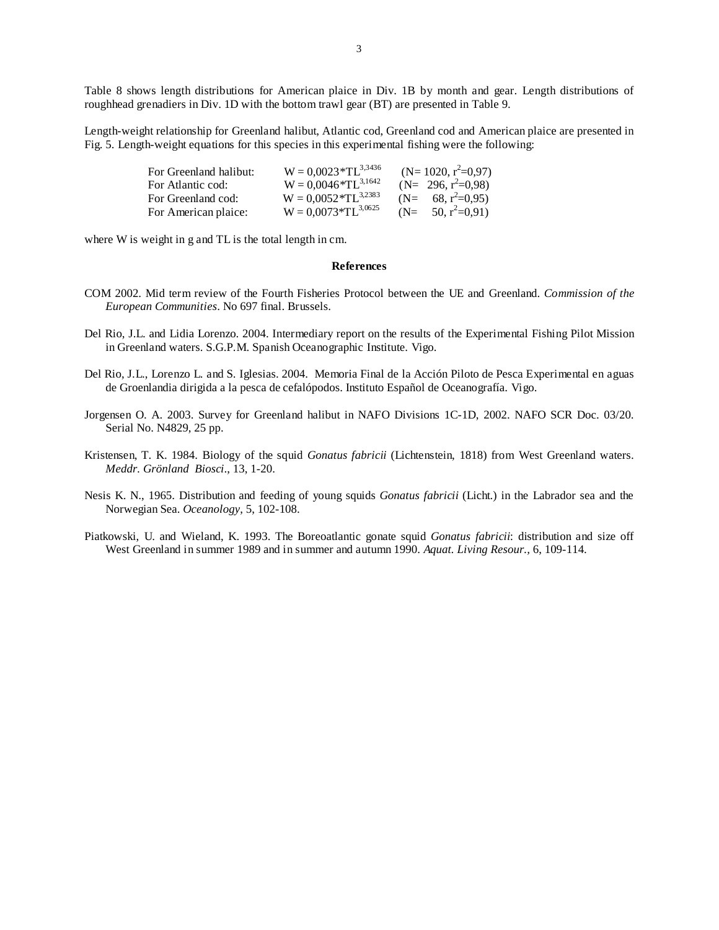Table 8 shows length distributions for American plaice in Div. 1B by month and gear. Length distributions of roughhead grenadiers in Div. 1D with the bottom trawl gear (BT) are presented in Table 9.

Length-weight relationship for Greenland halibut, Atlantic cod, Greenland cod and American plaice are presented in Fig. 5. Length-weight equations for this species in this experimental fishing were the following:

| For Greenland halibut: | $W = 0.0023 * TL^{3,3436}$  | $(N=1020, r^2=0.97)$   |
|------------------------|-----------------------------|------------------------|
| For Atlantic cod:      | $W = 0.0046 * T L^{3,1642}$ | $(N= 296, r^2=0.98)$   |
| For Greenland cod:     | $W = 0.0052 * T L^{3,2383}$ | $(N= 68, r^2=0.95)$    |
| For American plaice:   | $W = 0.0073 * TL^{3,0625}$  | $(N=$ 50, $r^2=0.91$ ) |

where W is weight in g and TL is the total length in cm.

#### **References**

- COM 2002. Mid term review of the Fourth Fisheries Protocol between the UE and Greenland. *Commission of the European Communities*. No 697 final. Brussels.
- Del Rio, J.L. and Lidia Lorenzo. 2004. Intermediary report on the results of the Experimental Fishing Pilot Mission in Greenland waters. S.G.P.M. Spanish Oceanographic Institute. Vigo.
- Del Rio, J.L., Lorenzo L. and S. Iglesias. 2004. Memoria Final de la Acción Piloto de Pesca Experimental en aguas de Groenlandia dirigida a la pesca de cefalópodos. Instituto Español de Oceanografía. Vigo.
- Jorgensen O. A. 2003. Survey for Greenland halibut in NAFO Divisions 1C-1D, 2002. NAFO SCR Doc. 03/20. Serial No. N4829, 25 pp.
- Kristensen, T. K. 1984. Biology of the squid *Gonatus fabricii* (Lichtenstein, 1818) from West Greenland waters. *Meddr. Grönland Biosci*., 13, 1-20.
- Nesis K. N., 1965. Distribution and feeding of young squids *Gonatus fabricii* (Licht.) in the Labrador sea and the Norwegian Sea. *Oceanology*, 5, 102-108.
- Piatkowski, U. and Wieland, K. 1993. The Boreoatlantic gonate squid *Gonatus fabricii*: distribution and size off West Greenland in summer 1989 and in summer and autumn 1990. *Aquat. Living Resour.,* 6, 109-114.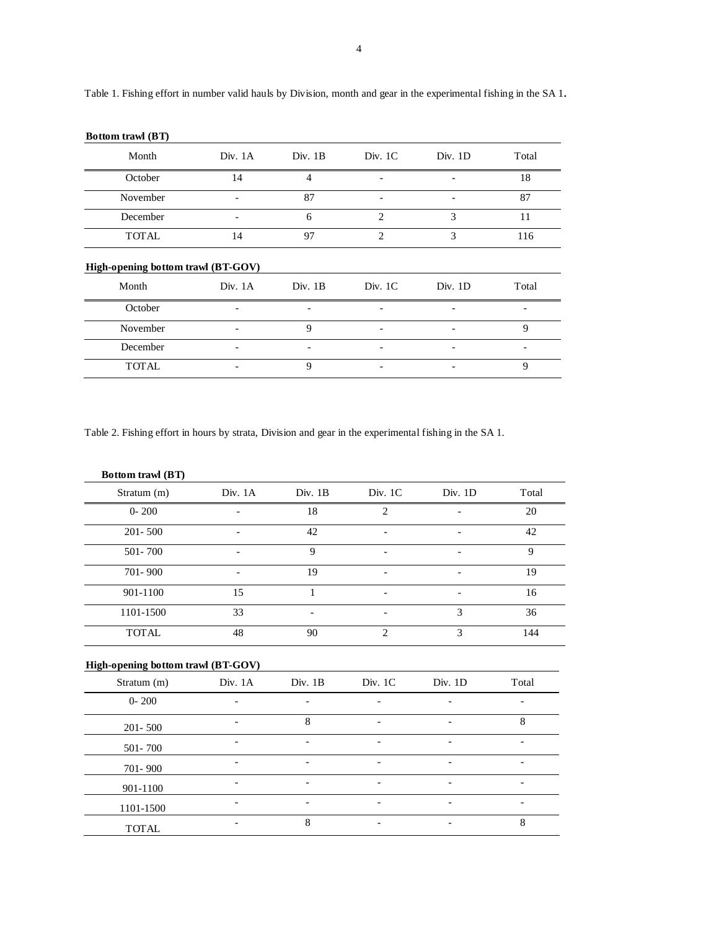| Month                              | Div. $1A$ | Div. 1B | Div. 1C        | Div. $1D$                | Total                        |
|------------------------------------|-----------|---------|----------------|--------------------------|------------------------------|
| October                            | 14        | 4       |                |                          | 18                           |
| November                           |           | 87      |                |                          | 87                           |
| December                           |           | 6       | 2              | 3                        | 11                           |
| <b>TOTAL</b>                       | 14        | 97      | $\overline{2}$ | 3                        | 116                          |
| High-opening bottom trawl (BT-GOV) |           |         |                |                          |                              |
| Month                              | Div. $1A$ | Div. 1B | Div. 1C        | Div. $1D$                | Total                        |
| October                            |           | ٠       | -              | $\overline{\phantom{0}}$ | $\qquad \qquad \blacksquare$ |
| November                           |           | 9       |                |                          | 9                            |
| December                           |           |         |                |                          |                              |

 $\text{TOTAL}$   $-$  9  $-$  9

Table 1. Fishing effort in number valid hauls by Division, month and gear in the experimental fishing in the SA 1.

Table 2. Fishing effort in hours by strata, Division and gear in the experimental fishing in the SA 1.

| Bottom trawl (BT)                                 |         |                          |                |         |       |
|---------------------------------------------------|---------|--------------------------|----------------|---------|-------|
| Stratum (m)                                       | Div. 1A | Div. 1B                  | Div. 1C        | Div. 1D | Total |
| $0 - 200$                                         |         | 18                       | $\overline{2}$ |         | 20    |
| 201-500                                           |         | 42                       |                |         | 42    |
| 501-700                                           |         | 9                        |                |         | 9     |
| 701-900                                           |         | 19                       |                |         | 19    |
| 901-1100                                          | 15      | 1                        |                |         | 16    |
| 1101-1500                                         | 33      |                          |                | 3       | 36    |
| <b>TOTAL</b>                                      | 48      | 90                       | $\overline{2}$ | 3       | 144   |
| High-opening bottom trawl (BT-GOV)<br>Stratum (m) | Div. 1A | Div. 1B                  | Div. 1C        | Div. 1D | Total |
|                                                   |         |                          |                |         |       |
| $0 - 200$                                         |         |                          |                |         |       |
| $201 - 500$                                       |         | 8                        |                |         | 8     |
| 501-700                                           |         |                          |                |         |       |
| 701-900                                           |         |                          |                |         |       |
| 901-1100                                          |         |                          |                |         |       |
| 1101-1500                                         |         | $\overline{\phantom{a}}$ |                |         |       |
| <b>TOTAL</b>                                      |         | 8                        |                |         | 8     |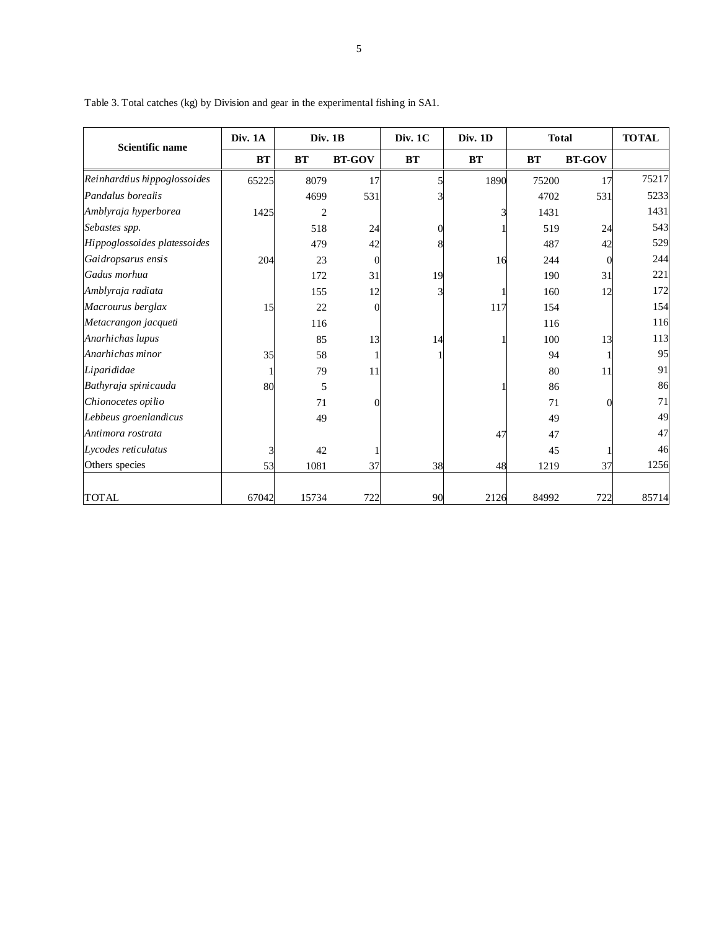| <b>Scientific name</b>       | Div. 1A   | Div. 1B        |               | Div. 1C   | Div. 1D   | <b>Total</b> |               | <b>TOTAL</b> |  |
|------------------------------|-----------|----------------|---------------|-----------|-----------|--------------|---------------|--------------|--|
|                              | <b>BT</b> | <b>BT</b>      | <b>BT-GOV</b> | <b>BT</b> | <b>BT</b> | <b>BT</b>    | <b>BT-GOV</b> |              |  |
| Reinhardtius hippoglossoides | 65225     | 8079           | 17            |           | 1890      | 75200        | 17            | 75217        |  |
| Pandalus borealis            |           | 4699           | 531           |           |           | 4702         | 531           | 5233         |  |
| Amblyraja hyperborea         | 1425      | $\overline{c}$ |               |           |           | 1431         |               | 1431         |  |
| Sebastes spp.                |           | 518            | 24            |           |           | 519          | 24            | 543          |  |
| Hippoglossoides platessoides |           | 479            | 42            |           |           | 487          | 42            | 529          |  |
| Gaidropsarus ensis           | 204       | 23             | 0             |           | 16        | 244          |               | 244          |  |
| Gadus morhua                 |           | 172            | 31            | 19        |           | 190          | 31            | 221          |  |
| Amblyraja radiata            |           | 155            | 12            |           |           | 160          | 12            | 172          |  |
| Macrourus berglax            | 15        | 22             |               |           | 117       | 154          |               | 154          |  |
| Metacrangon jacqueti         |           | 116            |               |           |           | 116          |               | 116          |  |
| Anarhichas lupus             |           | 85             | 13            | 14        |           | 100          | 13            | 113          |  |
| Anarhichas minor             | 35        | 58             |               |           |           | 94           |               | 95           |  |
| Liparididae                  |           | 79             | 11            |           |           | 80           | 11            | 91           |  |
| Bathyraja spinicauda         | 80        | 5              |               |           |           | 86           |               | 86           |  |
| Chionocetes opilio           |           | 71             |               |           |           | 71           |               | 71           |  |
| Lebbeus groenlandicus        |           | 49             |               |           |           | 49           |               | 49           |  |
| Antimora rostrata            |           |                |               |           | 47        | 47           |               | 47           |  |
| Lycodes reticulatus          |           | 42             |               |           |           | 45           |               | 46           |  |
| Others species               | 53        | 1081           | 37            | 38        | 48        | 1219         | 37            | 1256         |  |
| <b>TOTAL</b>                 | 67042     | 15734          | 722           | 90        | 2126      | 84992        | 722           | 85714        |  |

Table 3. Total catches (kg) by Division and gear in the experimental fishing in SA1.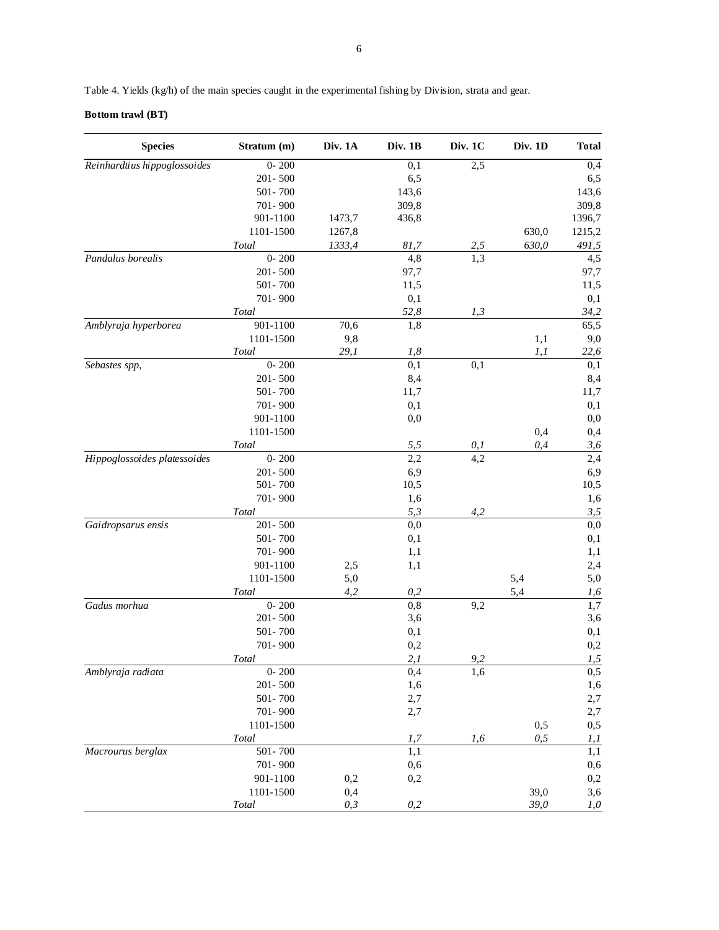Table 4. Yields (kg/h) of the main species caught in the experimental fishing by Division, strata and gear.

# **Bottom trawl (BT)**

| <b>Species</b>               | Stratum (m)  | Div. 1A | Div. 1B          | Div. 1C          | Div. 1D | <b>Total</b> |
|------------------------------|--------------|---------|------------------|------------------|---------|--------------|
| Reinhardtius hippoglossoides | $0 - 200$    |         | $\overline{0,1}$ | $\overline{2,5}$ |         | 0,4          |
|                              | 201-500      |         | 6,5              |                  |         | 6,5          |
|                              | 501-700      |         | 143,6            |                  |         | 143,6        |
|                              | 701-900      |         | 309,8            |                  |         | 309,8        |
|                              | 901-1100     | 1473,7  | 436,8            |                  |         | 1396,7       |
|                              | 1101-1500    | 1267,8  |                  |                  | 630,0   | 1215,2       |
|                              | Total        | 1333,4  | 81,7             | 2,5              | 630,0   | 491,5        |
| Pandalus borealis            | $0 - 200$    |         | 4,8              | 1,3              |         | 4,5          |
|                              | 201-500      |         | 97,7             |                  |         | 97,7         |
|                              | 501-700      |         | 11,5             |                  |         | 11,5         |
|                              | 701-900      |         | 0,1              |                  |         | 0,1          |
|                              | <b>Total</b> |         | 52,8             | 1,3              |         | 34,2         |
| Amblyraja hyperborea         | 901-1100     | 70,6    | 1,8              |                  |         | 65,5         |
|                              | 1101-1500    | 9,8     |                  |                  | 1,1     | 9,0          |
|                              | Total        | 29,1    | 1,8              |                  | 1,1     | 22,6         |
| Sebastes spp,                | $0 - 200$    |         | 0,1              | 0,1              |         | 0,1          |
|                              | 201-500      |         |                  |                  |         |              |
|                              |              |         | 8,4              |                  |         | 8,4          |
|                              | 501-700      |         | 11,7             |                  |         | 11,7         |
|                              | 701-900      |         | 0,1              |                  |         | 0,1          |
|                              | 901-1100     |         | 0,0              |                  |         | 0,0          |
|                              | 1101-1500    |         |                  |                  | 0,4     | 0,4          |
|                              | <b>Total</b> |         | 5,5              | 0,1              | 0,4     | 3,6          |
| Hippoglossoides platessoides | $0 - 200$    |         | 2,2              | 4,2              |         | 2,4          |
|                              | 201-500      |         | 6,9              |                  |         | 6,9          |
|                              | 501-700      |         | 10,5             |                  |         | 10,5         |
|                              | 701-900      |         | 1,6              |                  |         | 1,6          |
|                              | Total        |         | 5,3              | 4,2              |         | 3, 5         |
| Gaidropsarus ensis           | 201-500      |         | 0,0              |                  |         | 0,0          |
|                              | 501-700      |         | 0,1              |                  |         | 0,1          |
|                              | 701-900      |         | 1,1              |                  |         | 1,1          |
|                              | 901-1100     | 2,5     | 1,1              |                  |         | 2,4          |
|                              | 1101-1500    | 5,0     |                  |                  | 5,4     | 5,0          |
|                              | <b>Total</b> | 4,2     | 0,2              |                  | 5,4     | 1,6          |
| Gadus morhua                 | $0 - 200$    |         | 0,8              | 9,2              |         | 1,7          |
|                              | 201-500      |         | 3,6              |                  |         | 3,6          |
|                              | 501-700      |         | 0,1              |                  |         | 0,1          |
|                              | 701-900      |         | $_{0,2}$         |                  |         | 0,2          |
|                              | Total        |         | 2,1              | 9.2              |         | 1,5          |
| Amblyraja radiata            | $0 - 200$    |         | 0,4              | 1,6              |         | 0,5          |
|                              | 201-500      |         | 1,6              |                  |         | 1,6          |
|                              | 501-700      |         | 2,7              |                  |         | 2,7          |
|                              | 701-900      |         | 2,7              |                  |         | 2,7          |
|                              | 1101-1500    |         |                  |                  | 0,5     | 0,5          |
|                              | Total        |         | 1,7              | 1,6              | 0, 5    | l, l         |
| Macrourus berglax            | 501-700      |         | 1,1              |                  |         | 1,1          |
|                              | 701-900      |         | 0,6              |                  |         | 0,6          |
|                              | $901 - 1100$ | 0,2     | 0,2              |                  |         | $0,\!2$      |
|                              | 1101-1500    | 0,4     |                  |                  | 39,0    |              |
|                              |              |         |                  |                  |         | 3,6          |
|                              | Total        | 0, 3    | 0,2              |                  | 39,0    | 1,0          |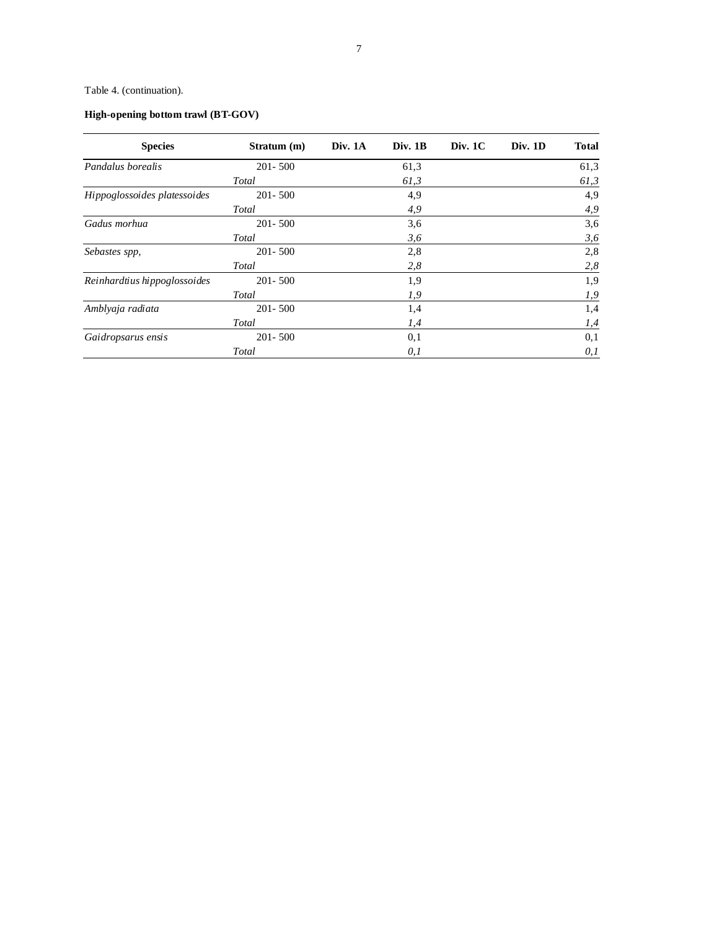# Table 4. (continuation).

# **High-opening bottom trawl (BT-GOV)**

| <b>Species</b>               | Stratum (m) | Div. $1A$ | Div. 1B | Div. 1C | Div. 1D | Total |
|------------------------------|-------------|-----------|---------|---------|---------|-------|
| Pandalus borealis            | $201 - 500$ |           | 61,3    |         |         | 61,3  |
|                              | Total       |           | 61,3    |         |         | 61,3  |
| Hippoglossoides platessoides | $201 - 500$ |           | 4,9     |         |         | 4,9   |
|                              | Total       |           | 4,9     |         |         | 4,9   |
| Gadus morhua                 | $201 - 500$ |           | 3,6     |         |         | 3,6   |
|                              | Total       |           | 3,6     |         |         | 3,6   |
| Sebastes spp,                | $201 - 500$ |           | 2,8     |         |         | 2,8   |
|                              | Total       |           | 2,8     |         |         | 2,8   |
| Reinhardtius hippoglossoides | $201 - 500$ |           | 1,9     |         |         | 1,9   |
|                              | Total       |           | 1,9     |         |         | 1,9   |
| Amblyaja radiata             | $201 - 500$ |           | 1,4     |         |         | 1,4   |
|                              | Total       |           | 1,4     |         |         | 1,4   |
| Gaidropsarus ensis           | $201 - 500$ |           | 0,1     |         |         | 0,1   |
|                              | Total       |           | 0,1     |         |         | 0,1   |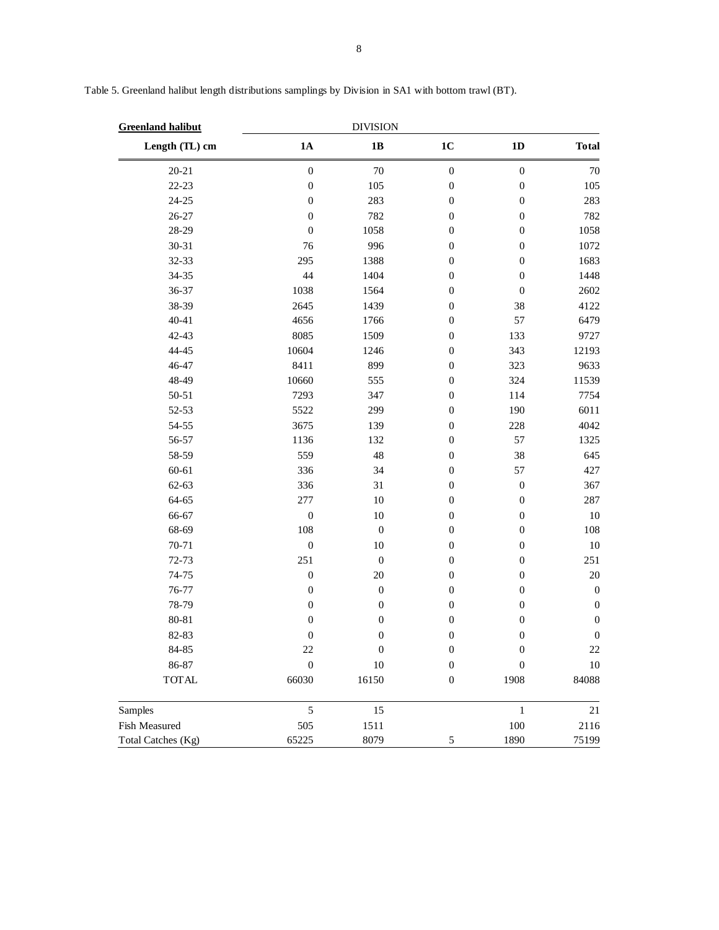| <b>Greenland halibut</b> |                  | <b>DIVISION</b>  |                  |                  |                  |
|--------------------------|------------------|------------------|------------------|------------------|------------------|
| Length (TL) cm           | 1A               | 1B               | $1C$             | 1D               | <b>Total</b>     |
| $20 - 21$                | $\boldsymbol{0}$ | 70               | $\boldsymbol{0}$ | $\boldsymbol{0}$ | $70\,$           |
| $22 - 23$                | $\boldsymbol{0}$ | 105              | $\boldsymbol{0}$ | $\boldsymbol{0}$ | 105              |
| 24-25                    | $\boldsymbol{0}$ | 283              | $\boldsymbol{0}$ | $\boldsymbol{0}$ | 283              |
| 26-27                    | $\boldsymbol{0}$ | 782              | $\boldsymbol{0}$ | $\boldsymbol{0}$ | 782              |
| 28-29                    | $\boldsymbol{0}$ | 1058             | $\boldsymbol{0}$ | $\boldsymbol{0}$ | 1058             |
| 30-31                    | 76               | 996              | $\boldsymbol{0}$ | $\boldsymbol{0}$ | 1072             |
| 32-33                    | 295              | 1388             | $\boldsymbol{0}$ | $\boldsymbol{0}$ | 1683             |
| 34-35                    | 44               | 1404             | $\boldsymbol{0}$ | $\boldsymbol{0}$ | 1448             |
| 36-37                    | 1038             | 1564             | $\boldsymbol{0}$ | $\boldsymbol{0}$ | 2602             |
| 38-39                    | 2645             | 1439             | $\boldsymbol{0}$ | 38               | 4122             |
| $40 - 41$                | 4656             | 1766             | $\boldsymbol{0}$ | 57               | 6479             |
| 42-43                    | 8085             | 1509             | $\boldsymbol{0}$ | 133              | 9727             |
| 44-45                    | 10604            | 1246             | $\boldsymbol{0}$ | 343              | 12193            |
| 46-47                    | 8411             | 899              | $\boldsymbol{0}$ | 323              | 9633             |
| 48-49                    | 10660            | 555              | $\boldsymbol{0}$ | 324              | 11539            |
| $50 - 51$                | 7293             | 347              | $\mathbf{0}$     | 114              | 7754             |
| 52-53                    | 5522             | 299              | $\mathbf{0}$     | 190              | 6011             |
| 54-55                    | 3675             | 139              | $\mathbf{0}$     | 228              | 4042             |
| 56-57                    | 1136             | 132              | $\boldsymbol{0}$ | 57               | 1325             |
| 58-59                    | 559              | 48               | $\boldsymbol{0}$ | 38               | 645              |
| 60-61                    | 336              | 34               | $\boldsymbol{0}$ | 57               | 427              |
| 62-63                    | 336              | 31               | $\boldsymbol{0}$ | $\boldsymbol{0}$ | 367              |
| 64-65                    | 277              | 10               | $\boldsymbol{0}$ | $\boldsymbol{0}$ | 287              |
| 66-67                    | $\boldsymbol{0}$ | 10               | $\boldsymbol{0}$ | $\boldsymbol{0}$ | $10\,$           |
| 68-69                    | 108              | $\boldsymbol{0}$ | $\mathbf{0}$     | $\boldsymbol{0}$ | 108              |
| 70-71                    | $\boldsymbol{0}$ | 10               | $\boldsymbol{0}$ | $\boldsymbol{0}$ | $10\,$           |
| 72-73                    | 251              | $\boldsymbol{0}$ | $\boldsymbol{0}$ | $\boldsymbol{0}$ | 251              |
| 74-75                    | $\boldsymbol{0}$ | 20               | $\boldsymbol{0}$ | $\boldsymbol{0}$ | $20\,$           |
| 76-77                    | $\boldsymbol{0}$ | $\boldsymbol{0}$ | $\boldsymbol{0}$ | $\boldsymbol{0}$ | $\boldsymbol{0}$ |
| 78-79                    | $\boldsymbol{0}$ | $\boldsymbol{0}$ | $\boldsymbol{0}$ | $\boldsymbol{0}$ | $\boldsymbol{0}$ |
| 80-81                    | $\boldsymbol{0}$ | $\boldsymbol{0}$ | $\boldsymbol{0}$ | $\boldsymbol{0}$ | $\boldsymbol{0}$ |
| 82-83                    | $\boldsymbol{0}$ | $\boldsymbol{0}$ | $\boldsymbol{0}$ | $\boldsymbol{0}$ | $\boldsymbol{0}$ |
| 84-85                    | 22               | $\boldsymbol{0}$ | $\boldsymbol{0}$ | $\boldsymbol{0}$ | 22               |
| 86-87                    | $\boldsymbol{0}$ | 10               | $\boldsymbol{0}$ | 0                | $10\,$           |
| <b>TOTAL</b>             | 66030            | 16150            | $\boldsymbol{0}$ | 1908             | 84088            |
| Samples                  | $\sqrt{5}$       | 15               |                  | $\mathbf{1}$     | 21               |
| Fish Measured            | 505              | 1511             |                  | $100\,$          | 2116             |
| Total Catches (Kg)       | 65225            | 8079             | 5                | 1890             | 75199            |

Table 5. Greenland halibut length distributions samplings by Division in SA1 with bottom trawl (BT).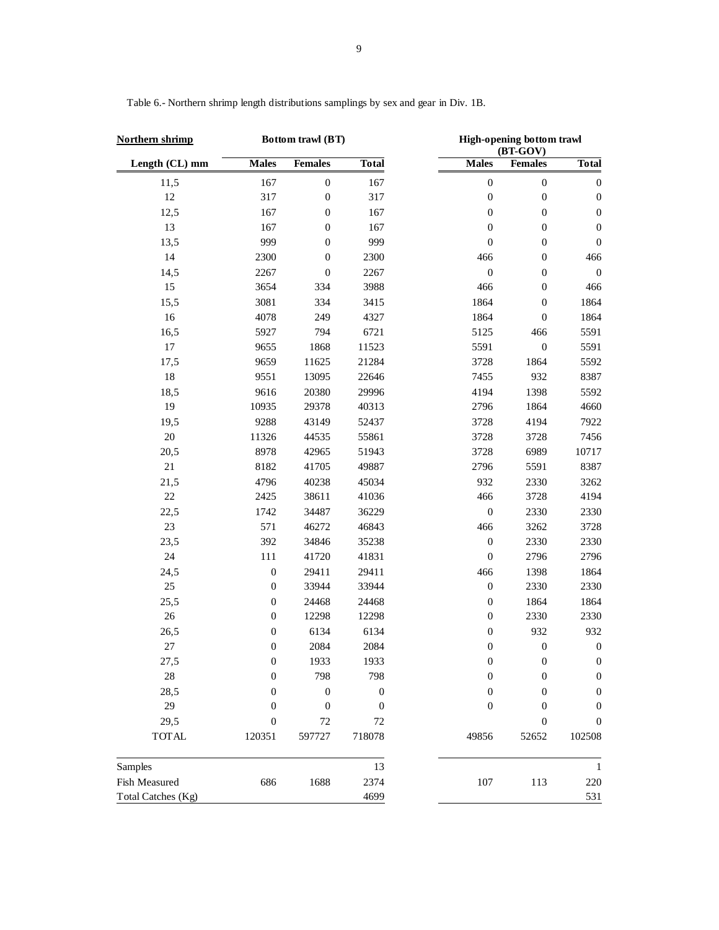| Northern shrimp    |                  | Bottom trawl (BT) |                  | High-opening bottom trawl<br>(BT-GOV) |                  |                  |
|--------------------|------------------|-------------------|------------------|---------------------------------------|------------------|------------------|
| Length (CL) mm     | <b>Males</b>     | <b>Females</b>    | <b>Total</b>     | <b>Males</b>                          | <b>Females</b>   | <b>Total</b>     |
| 11,5               | 167              | $\boldsymbol{0}$  | 167              | $\boldsymbol{0}$                      | $\boldsymbol{0}$ | $\boldsymbol{0}$ |
| 12                 | 317              | $\boldsymbol{0}$  | 317              | $\boldsymbol{0}$                      | $\boldsymbol{0}$ | $\boldsymbol{0}$ |
| 12,5               | 167              | $\boldsymbol{0}$  | 167              | $\boldsymbol{0}$                      | $\boldsymbol{0}$ | $\boldsymbol{0}$ |
| 13                 | 167              | $\boldsymbol{0}$  | 167              | $\boldsymbol{0}$                      | $\boldsymbol{0}$ | $\boldsymbol{0}$ |
| 13,5               | 999              | $\boldsymbol{0}$  | 999              | $\boldsymbol{0}$                      | $\boldsymbol{0}$ | $\boldsymbol{0}$ |
| 14                 | 2300             | $\boldsymbol{0}$  | 2300             | 466                                   | $\boldsymbol{0}$ | 466              |
| 14,5               | 2267             | $\boldsymbol{0}$  | 2267             | $\boldsymbol{0}$                      | $\boldsymbol{0}$ | $\boldsymbol{0}$ |
| 15                 | 3654             | 334               | 3988             | 466                                   | $\boldsymbol{0}$ | 466              |
| 15,5               | 3081             | 334               | 3415             | 1864                                  | $\boldsymbol{0}$ | 1864             |
| 16                 | 4078             | 249               | 4327             | 1864                                  | $\boldsymbol{0}$ | 1864             |
| 16,5               | 5927             | 794               | 6721             | 5125                                  | 466              | 5591             |
| $17\,$             | 9655             | 1868              | 11523            | 5591                                  | $\boldsymbol{0}$ | 5591             |
| 17,5               | 9659             | 11625             | 21284            | 3728                                  | 1864             | 5592             |
| 18                 | 9551             | 13095             | 22646            | 7455                                  | 932              | 8387             |
| 18,5               | 9616             | 20380             | 29996            | 4194                                  | 1398             | 5592             |
| 19                 | 10935            | 29378             | 40313            | 2796                                  | 1864             | 4660             |
| 19,5               | 9288             | 43149             | 52437            | 3728                                  | 4194             | 7922             |
| $20\,$             | 11326            | 44535             | 55861            | 3728                                  | 3728             | 7456             |
| 20,5               | 8978             | 42965             | 51943            | 3728                                  | 6989             | 10717            |
| $21\,$             | 8182             | 41705             | 49887            | 2796                                  | 5591             | 8387             |
| 21,5               | 4796             | 40238             | 45034            | 932                                   | 2330             | 3262             |
| $22\,$             | 2425             | 38611             | 41036            | 466                                   | 3728             | 4194             |
| 22,5               | 1742             | 34487             | 36229            | $\boldsymbol{0}$                      | 2330             | 2330             |
| 23                 | 571              | 46272             | 46843            | 466                                   | 3262             | 3728             |
| 23,5               | 392              | 34846             | 35238            | $\boldsymbol{0}$                      | 2330             | 2330             |
| $24\,$             | 111              | 41720             | 41831            | $\boldsymbol{0}$                      | 2796             | 2796             |
| 24,5               | $\boldsymbol{0}$ | 29411             | 29411            | 466                                   | 1398             | 1864             |
| $25\,$             | $\boldsymbol{0}$ | 33944             | 33944            | $\boldsymbol{0}$                      | 2330             | 2330             |
| 25,5               | $\boldsymbol{0}$ | 24468             | 24468            | $\boldsymbol{0}$                      | 1864             | 1864             |
| $26\,$             | $\boldsymbol{0}$ | 12298             | 12298            | $\boldsymbol{0}$                      | 2330             | 2330             |
| 26,5               | $\boldsymbol{0}$ | 6134              | 6134             | $\boldsymbol{0}$                      | 932              | 932              |
| $27\,$             | $\boldsymbol{0}$ | 2084              | 2084             | $\boldsymbol{0}$                      | $\boldsymbol{0}$ | $\boldsymbol{0}$ |
| 27,5               | 0                | 1933              | 1933             | $\boldsymbol{0}$                      | $\theta$         | $\theta$         |
| $28\,$             | $\overline{0}$   | 798               | 798              | $\boldsymbol{0}$                      | $\boldsymbol{0}$ | $\boldsymbol{0}$ |
| 28,5               | 0                | $\boldsymbol{0}$  | $\boldsymbol{0}$ | $\boldsymbol{0}$                      | $\boldsymbol{0}$ | $\boldsymbol{0}$ |
| 29                 | 0                | $\mathbf{0}$      | $\mathbf{0}$     | $\boldsymbol{0}$                      | $\boldsymbol{0}$ | $\overline{0}$   |
| 29,5               | 0                | 72                | 72               |                                       | $\mathbf{0}$     | $\mathbf{0}$     |
| <b>TOTAL</b>       | 120351           | 597727            | 718078           | 49856                                 | 52652            | 102508           |
| Samples            |                  |                   | 13               |                                       |                  | $\mathbf{1}$     |
| Fish Measured      | 686              | 1688              | 2374             | 107                                   | 113              | 220              |
| Total Catches (Kg) |                  |                   | 4699             |                                       |                  | 531              |

Table 6.- Northern shrimp length distributions samplings by sex and gear in Div. 1B.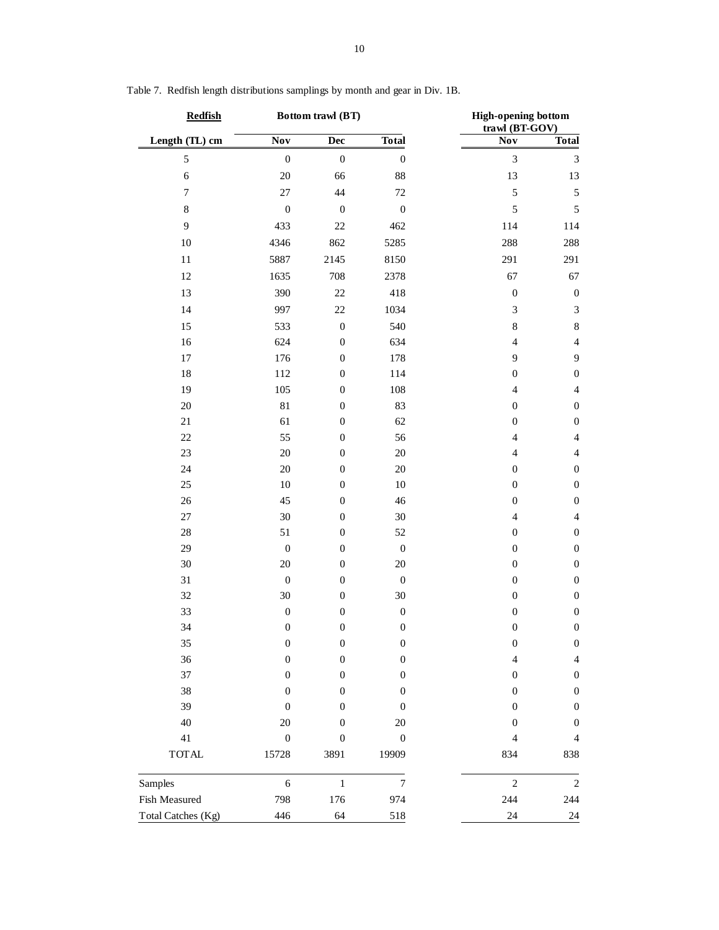| <b>Redfish</b>         |                           | Bottom trawl (BT) |                           | <b>High-opening bottom</b><br>trawl (BT-GOV) |                  |  |
|------------------------|---------------------------|-------------------|---------------------------|----------------------------------------------|------------------|--|
| Length (TL) cm         | <b>Nov</b>                | Dec               | <b>Total</b>              | Nov                                          | <b>Total</b>     |  |
| 5                      | $\boldsymbol{0}$          | $\boldsymbol{0}$  | $\boldsymbol{0}$          | $\mathfrak{Z}$                               | $\mathfrak{Z}$   |  |
| $\sqrt{6}$             | 20                        | 66                | 88                        | 13                                           | 13               |  |
| $\boldsymbol{7}$       | $27\,$                    | 44                | 72                        | $\sqrt{5}$                                   | $\sqrt{5}$       |  |
| $\,8\,$                | $\boldsymbol{0}$          | $\boldsymbol{0}$  | $\boldsymbol{0}$          | $\sqrt{5}$                                   | $\sqrt{5}$       |  |
| $\overline{9}$         | 433                       | 22                | 462                       | 114                                          | 114              |  |
| $10\,$                 | 4346                      | 862               | 5285                      | 288                                          | 288              |  |
| $11\,$                 | 5887                      | 2145              | 8150                      | 291                                          | 291              |  |
| 12                     | 1635                      | 708               | 2378                      | 67                                           | 67               |  |
| 13                     | 390                       | 22                | 418                       | $\boldsymbol{0}$                             | $\boldsymbol{0}$ |  |
| 14                     | 997                       | $22\,$            | 1034                      | $\mathfrak{Z}$                               | $\sqrt{3}$       |  |
| 15                     | 533                       | $\boldsymbol{0}$  | 540                       | $\,8$                                        | $\,$ 8 $\,$      |  |
| 16                     | 624                       | $\boldsymbol{0}$  | 634                       | $\overline{4}$                               | $\overline{4}$   |  |
| $17\,$                 | 176                       | $\boldsymbol{0}$  | 178                       | 9                                            | $\mathbf{9}$     |  |
| 18                     | 112                       | $\boldsymbol{0}$  | 114                       | $\boldsymbol{0}$                             | $\boldsymbol{0}$ |  |
| 19                     | 105                       | $\boldsymbol{0}$  | 108                       | $\overline{4}$                               | $\overline{4}$   |  |
| $20\,$                 | 81                        | $\boldsymbol{0}$  | 83                        | $\boldsymbol{0}$                             | $\boldsymbol{0}$ |  |
| $21\,$                 | 61                        | $\boldsymbol{0}$  | 62                        | $\boldsymbol{0}$                             | $\boldsymbol{0}$ |  |
| $22\,$                 | 55                        | $\boldsymbol{0}$  | 56                        | $\overline{4}$                               | $\overline{4}$   |  |
| 23                     | $20\,$                    | $\boldsymbol{0}$  | 20                        | $\overline{4}$                               | $\overline{4}$   |  |
| 24                     | 20                        | $\boldsymbol{0}$  | 20                        | $\boldsymbol{0}$                             | $\boldsymbol{0}$ |  |
| 25                     | $10\,$                    | $\boldsymbol{0}$  | 10                        | $\boldsymbol{0}$                             | $\boldsymbol{0}$ |  |
| 26                     | 45                        | $\boldsymbol{0}$  | 46                        | $\boldsymbol{0}$                             | $\boldsymbol{0}$ |  |
| $27\,$                 | 30                        | $\boldsymbol{0}$  | 30                        | $\overline{4}$                               | $\overline{4}$   |  |
| 28                     | 51                        | $\boldsymbol{0}$  | 52                        | $\boldsymbol{0}$                             | $\boldsymbol{0}$ |  |
| 29                     | $\boldsymbol{0}$          | $\boldsymbol{0}$  | $\boldsymbol{0}$          | $\boldsymbol{0}$                             | $\boldsymbol{0}$ |  |
| 30                     | 20                        | $\boldsymbol{0}$  | 20                        | $\boldsymbol{0}$                             | $\boldsymbol{0}$ |  |
| 31                     | $\boldsymbol{0}$          | $\boldsymbol{0}$  | $\boldsymbol{0}$          | $\boldsymbol{0}$                             | $\boldsymbol{0}$ |  |
| 32                     | 30                        | $\boldsymbol{0}$  | 30                        | $\boldsymbol{0}$                             | $\boldsymbol{0}$ |  |
| 33                     | $\boldsymbol{0}$          | $\boldsymbol{0}$  | $\boldsymbol{0}$          | $\boldsymbol{0}$                             | $\boldsymbol{0}$ |  |
| 34                     | $\boldsymbol{0}$          | $\boldsymbol{0}$  | $\boldsymbol{0}$          | $\boldsymbol{0}$                             | $\boldsymbol{0}$ |  |
| 35                     | $\boldsymbol{0}$          | $\boldsymbol{0}$  | $\boldsymbol{0}$          | $\boldsymbol{0}$                             | $\boldsymbol{0}$ |  |
| 36                     | $\boldsymbol{0}$          | $\boldsymbol{0}$  | $\boldsymbol{0}$          | $\overline{4}$                               | $\overline{4}$   |  |
| 37                     | $\boldsymbol{0}$          | 0                 | $\boldsymbol{0}$          | $\boldsymbol{0}$                             | $\boldsymbol{0}$ |  |
| 38                     | $\boldsymbol{0}$          | $\boldsymbol{0}$  | $\boldsymbol{0}$          | $\boldsymbol{0}$                             | $\boldsymbol{0}$ |  |
| 39                     | $\boldsymbol{0}$          | $\boldsymbol{0}$  | $\boldsymbol{0}$          | $\boldsymbol{0}$                             | $\boldsymbol{0}$ |  |
| 40                     | 20                        | $\boldsymbol{0}$  | 20                        | 0                                            | $\boldsymbol{0}$ |  |
| $41\,$<br><b>TOTAL</b> | $\boldsymbol{0}$<br>15728 | $\boldsymbol{0}$  | $\boldsymbol{0}$<br>19909 | $\overline{4}$<br>834                        | $\overline{4}$   |  |
|                        |                           | 3891              |                           |                                              | 838              |  |
| Samples                | $\sqrt{6}$                | $\,1\,$           | $\boldsymbol{7}$          | $\sqrt{2}$                                   | $\sqrt{2}$       |  |
| Fish Measured          | 798                       | 176               | 974                       | 244                                          | 244              |  |
| Total Catches (Kg)     | 446                       | 64                | 518                       | 24                                           | 24               |  |

Table 7. Redfish length distributions samplings by month and gear in Div. 1B.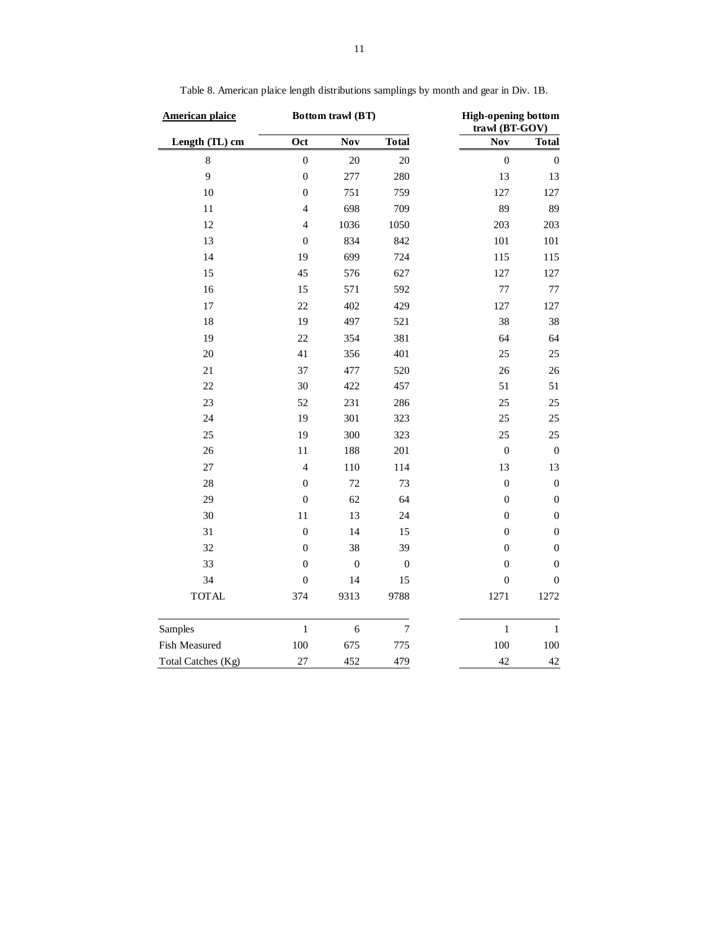| <b>American plaice</b> |                  | Bottom trawl (BT) |                  | <b>High-opening bottom</b><br>trawl (BT-GOV) |                  |  |
|------------------------|------------------|-------------------|------------------|----------------------------------------------|------------------|--|
| Length (TL) cm         | Oct              | Nov               | <b>Total</b>     | Nov                                          | <b>Total</b>     |  |
| 8                      | $\mathbf 0$      | 20                | 20               | $\overline{0}$                               | $\boldsymbol{0}$ |  |
| 9                      | $\mathbf{0}$     | 277               | 280              | 13                                           | 13               |  |
| 10                     | $\boldsymbol{0}$ | 751               | 759              | 127                                          | 127              |  |
| 11                     | $\overline{4}$   | 698               | 709              | 89                                           | 89               |  |
| 12                     | $\overline{4}$   | 1036              | 1050             | 203                                          | 203              |  |
| 13                     | $\mathbf{0}$     | 834               | 842              | 101                                          | 101              |  |
| 14                     | 19               | 699               | 724              | 115                                          | 115              |  |
| 15                     | 45               | 576               | 627              | 127                                          | 127              |  |
| 16                     | 15               | 571               | 592              | 77                                           | 77               |  |
| 17                     | 22               | 402               | 429              | 127                                          | 127              |  |
| 18                     | 19               | 497               | 521              | 38                                           | 38               |  |
| 19                     | 22               | 354               | 381              | 64                                           | 64               |  |
| 20                     | 41               | 356               | 401              | 25                                           | 25               |  |
| 21                     | 37               | 477               | 520              | 26                                           | 26               |  |
| 22                     | 30               | 422               | 457              | 51                                           | 51               |  |
| 23                     | 52               | 231               | 286              | 25                                           | 25               |  |
| 24                     | 19               | 301               | 323              | 25                                           | $25\,$           |  |
| 25                     | 19               | 300               | 323              | 25                                           | 25               |  |
| 26                     | $11\,$           | 188               | 201              | $\boldsymbol{0}$                             | $\boldsymbol{0}$ |  |
| 27                     | $\overline{4}$   | 110               | 114              | 13                                           | 13               |  |
| 28                     | $\boldsymbol{0}$ | 72                | 73               | $\boldsymbol{0}$                             | $\boldsymbol{0}$ |  |
| 29                     | $\boldsymbol{0}$ | 62                | 64               | $\boldsymbol{0}$                             | $\boldsymbol{0}$ |  |
| 30                     | $11\,$           | 13                | 24               | $\boldsymbol{0}$                             | $\boldsymbol{0}$ |  |
| 31                     | $\boldsymbol{0}$ | 14                | 15               | $\boldsymbol{0}$                             | $\boldsymbol{0}$ |  |
| 32                     | $\mathbf{0}$     | 38                | 39               | $\boldsymbol{0}$                             | $\boldsymbol{0}$ |  |
| 33                     | $\boldsymbol{0}$ | $\boldsymbol{0}$  | $\boldsymbol{0}$ | $\boldsymbol{0}$                             | $\boldsymbol{0}$ |  |
| 34                     | $\boldsymbol{0}$ | 14                | 15               | $\boldsymbol{0}$                             | $\boldsymbol{0}$ |  |
| <b>TOTAL</b>           | 374              | 9313              | 9788             | 1271                                         | 1272             |  |
| Samples                | $\,1$            | $\epsilon$        | $\boldsymbol{7}$ | $\,1$                                        | $\,1\,$          |  |
| Fish Measured          | 100              | 675               | 775              | 100                                          | 100              |  |
| Total Catches (Kg)     | 27               | 452               | 479              | 42                                           | $42\,$           |  |

Table 8. American plaice length distributions samplings by month and gear in Div. 1B.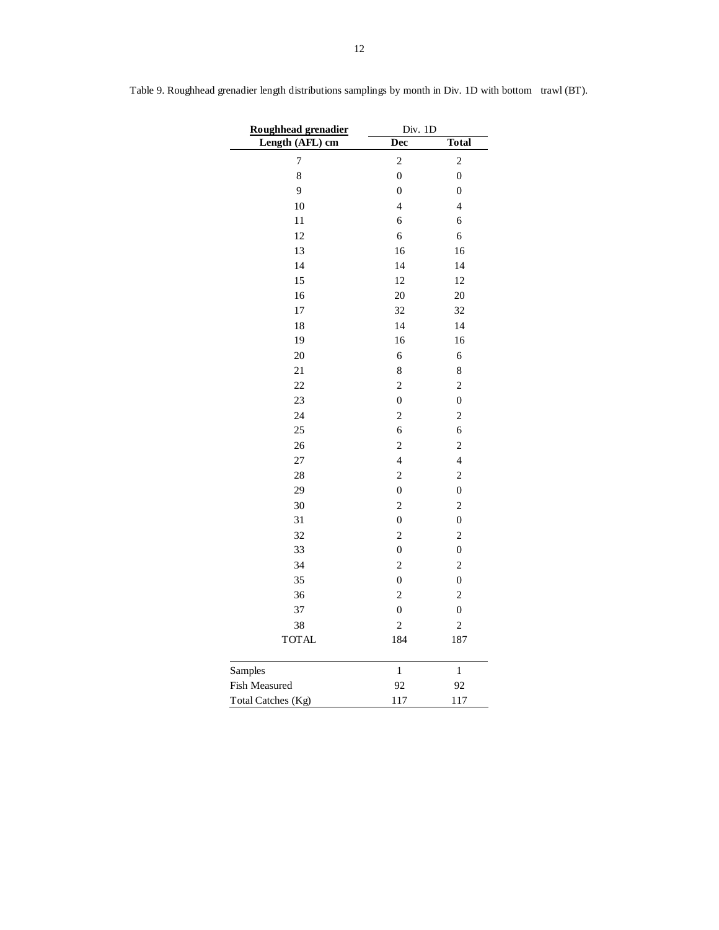| Roughhead grenadier | Div. 1D                 |                         |  |  |
|---------------------|-------------------------|-------------------------|--|--|
| Length (AFL) cm     | Dec                     | Total                   |  |  |
| 7                   | $\overline{\mathbf{c}}$ | $\overline{c}$          |  |  |
| 8                   | $\overline{0}$          | $\overline{0}$          |  |  |
| 9                   | $\boldsymbol{0}$        | $\overline{0}$          |  |  |
| 10                  | $\overline{\mathbf{4}}$ | $\overline{4}$          |  |  |
| 11                  | 6                       | 6                       |  |  |
| 12                  | 6                       | $\overline{6}$          |  |  |
| 13                  | 16                      | 16                      |  |  |
| 14                  | 14                      | 14                      |  |  |
| 15                  | 12                      | 12                      |  |  |
| 16                  | 20                      | 20                      |  |  |
| 17                  | 32                      | 32                      |  |  |
| 18                  | 14                      | 14                      |  |  |
| 19                  | 16                      | 16                      |  |  |
| 20                  | 6                       | 6                       |  |  |
| 21                  | 8                       | 8                       |  |  |
| 22                  | $\overline{c}$          | $\overline{c}$          |  |  |
| 23                  | $\overline{0}$          | $\boldsymbol{0}$        |  |  |
| 24                  | $\overline{c}$          | $\overline{c}$          |  |  |
| 25                  | 6                       | 6                       |  |  |
| 26                  | $\overline{c}$          | $\overline{c}$          |  |  |
| 27                  | $\overline{4}$          | $\overline{4}$          |  |  |
| 28                  | $\overline{c}$          | $\overline{c}$          |  |  |
| 29                  | $\overline{0}$          | $\overline{0}$          |  |  |
| 30                  | $\overline{\mathbf{c}}$ | $\overline{\mathbf{c}}$ |  |  |
| 31                  | $\overline{0}$          | $\overline{0}$          |  |  |
| 32                  | $\overline{c}$          | $\overline{c}$          |  |  |
| 33                  | $\overline{0}$          | $\overline{0}$          |  |  |
| 34                  | $\overline{c}$          | $\overline{c}$          |  |  |
| 35                  | $\overline{0}$          | $\overline{0}$          |  |  |
| 36                  | $\overline{c}$          | $\overline{\mathbf{c}}$ |  |  |
| 37                  | $\overline{0}$          | $\boldsymbol{0}$        |  |  |
| 38                  | $\overline{c}$          | $\overline{c}$          |  |  |
| <b>TOTAL</b>        | 184                     | 187                     |  |  |
| Samples             | $\mathbf{1}$            | $\mathbf{1}$            |  |  |
| Fish Measured       | 92                      | 92                      |  |  |
| Total Catches (Kg)  | 117                     | 117                     |  |  |

Table 9. Roughhead grenadier length distributions samplings by month in Div. 1D with bottom trawl (BT).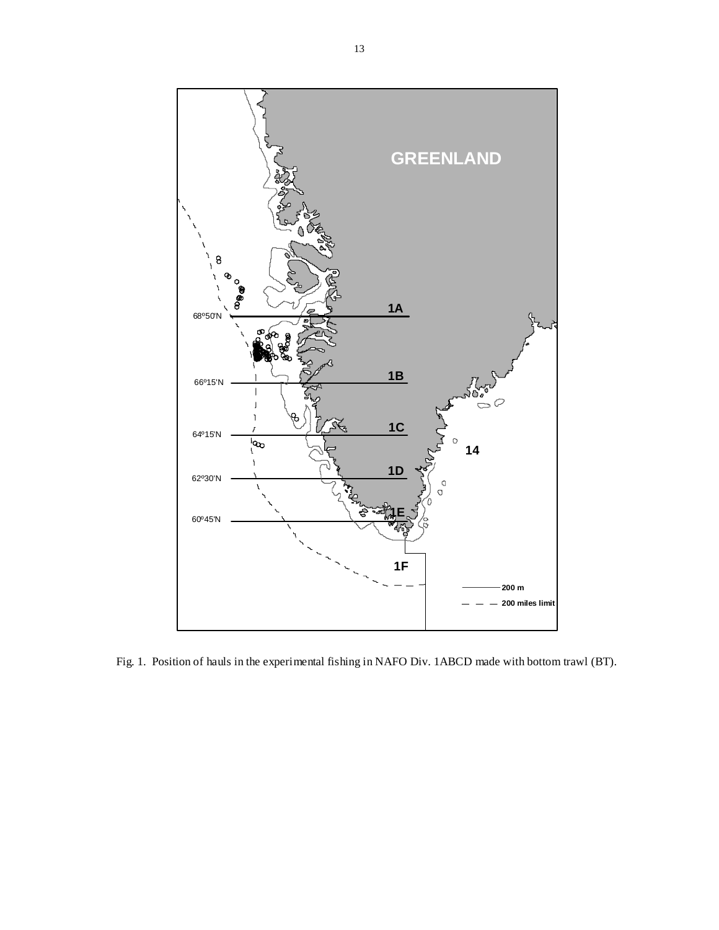

Fig. 1. Position of hauls in the experimental fishing in NAFO Div. 1ABCD made with bottom trawl (BT).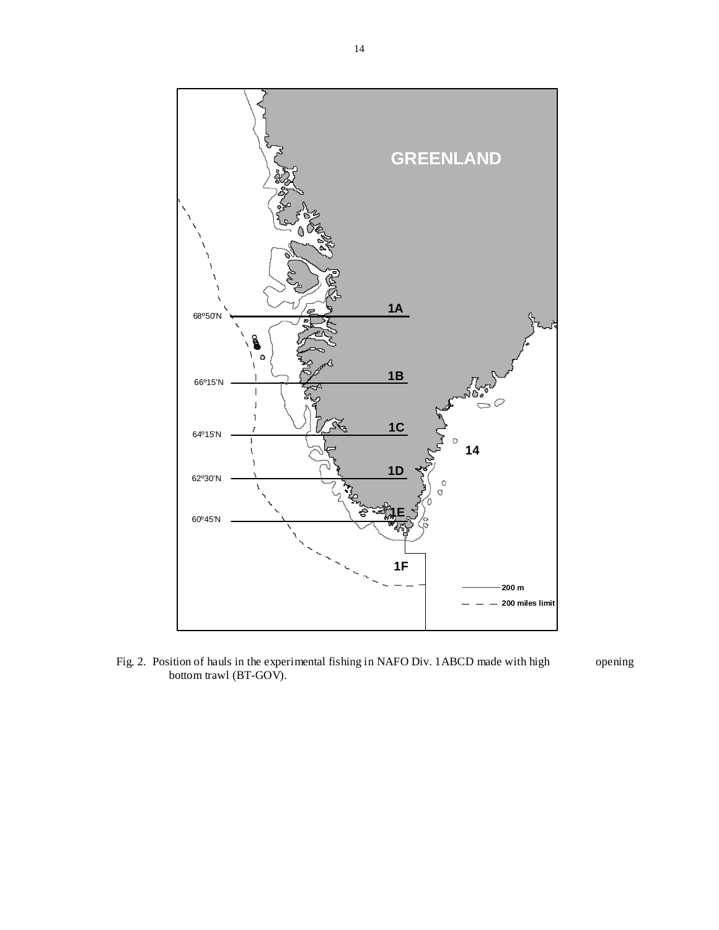

Fig. 2. Position of hauls in the experimental fishing in NAFO Div. 1ABCD made with high opening bottom trawl (BT-GOV).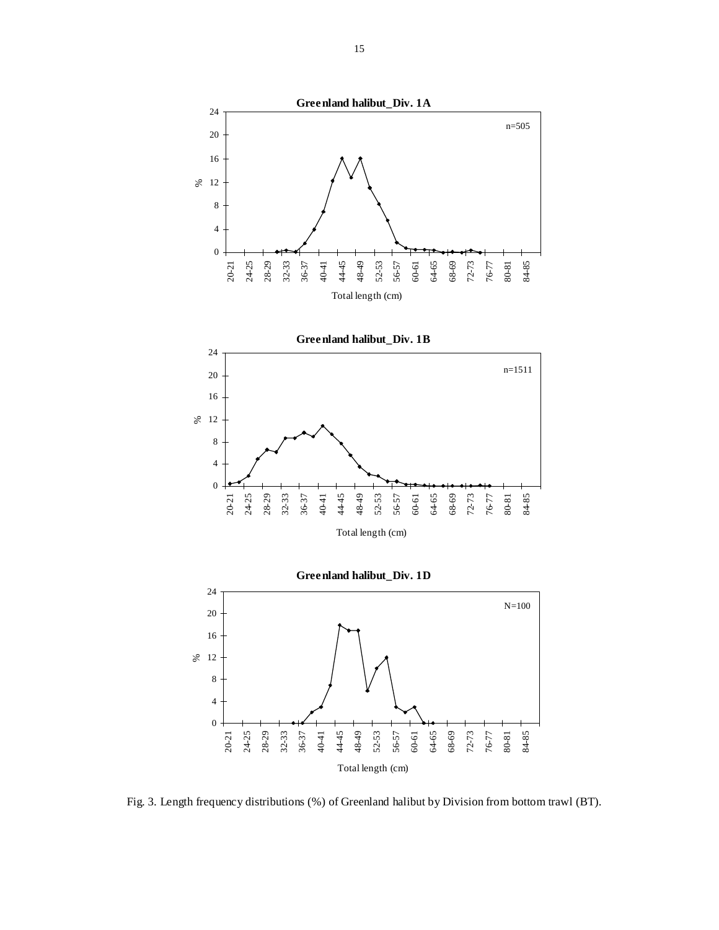

Fig. 3. Length frequency distributions (%) of Greenland halibut by Division from bottom trawl (BT).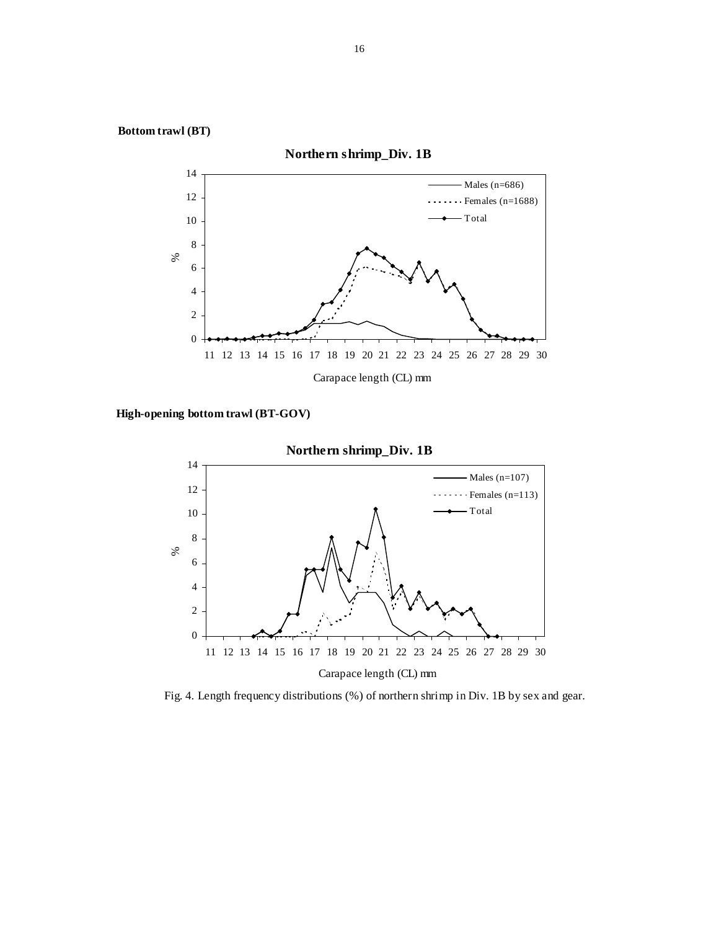

**High-opening bottom trawl (BT-GOV)** 



Fig. 4. Length frequency distributions (%) of northern shrimp in Div. 1B by sex and gear.